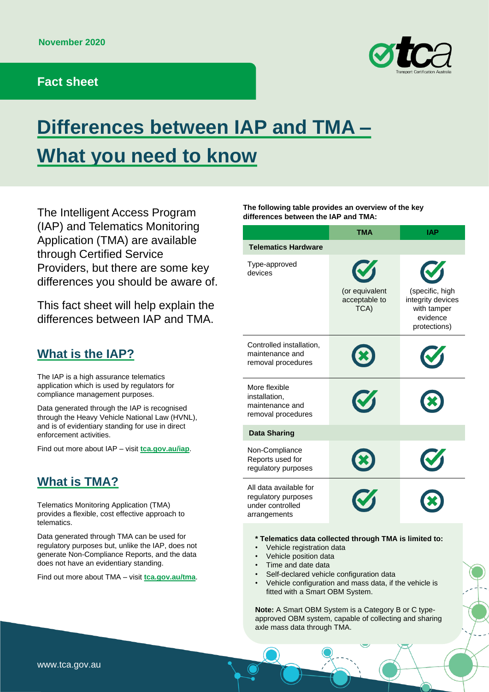#### **Fact sheet**



# **Differences between IAP and TMA – What you need to know**

The Intelligent Access Program (IAP) and Telematics Monitoring Application (TMA) are available through Certified Service Providers, but there are some key differences you should be aware of.

This fact sheet will help explain the differences between IAP and TMA.

#### **What is the IAP?**

The IAP is a high assurance telematics application which is used by regulators for compliance management purposes.

Data generated through the IAP is recognised through the Heavy Vehicle National Law (HVNL), and is of evidentiary standing for use in direct enforcement activities.

Find out more about IAP – visit **[tca.gov.au/iap](http://tca.gov.au/iap)**.

## **What is TMA?**

Telematics Monitoring Application (TMA) provides a flexible, cost effective approach to telematics.

Data generated through TMA can be used for regulatory purposes but, unlike the IAP, does not generate Non-Compliance Reports, and the data does not have an evidentiary standing.

Find out more about TMA – visit **[tca.gov.au/tma](http://tca.gov.au/tma)**.

**The following table provides an overview of the key differences between the IAP and TMA:**

|                                                                                                                                                                                                                                                                                                                                                                                                                                                                    | TMA                                     | <b>IAP</b>                                                                      |
|--------------------------------------------------------------------------------------------------------------------------------------------------------------------------------------------------------------------------------------------------------------------------------------------------------------------------------------------------------------------------------------------------------------------------------------------------------------------|-----------------------------------------|---------------------------------------------------------------------------------|
| <b>Telematics Hardware</b>                                                                                                                                                                                                                                                                                                                                                                                                                                         |                                         |                                                                                 |
| Type-approved<br>devices                                                                                                                                                                                                                                                                                                                                                                                                                                           | (or equivalent<br>acceptable to<br>TCA) | (specific, high<br>integrity devices<br>with tamper<br>evidence<br>protections) |
| Controlled installation,<br>maintenance and<br>removal procedures                                                                                                                                                                                                                                                                                                                                                                                                  |                                         |                                                                                 |
| More flexible<br>installation,<br>maintenance and<br>removal procedures                                                                                                                                                                                                                                                                                                                                                                                            |                                         |                                                                                 |
| <b>Data Sharing</b>                                                                                                                                                                                                                                                                                                                                                                                                                                                |                                         |                                                                                 |
| Non-Compliance<br>Reports used for<br>regulatory purposes                                                                                                                                                                                                                                                                                                                                                                                                          |                                         |                                                                                 |
| All data available for<br>regulatory purposes<br>under controlled<br>arrangements                                                                                                                                                                                                                                                                                                                                                                                  |                                         |                                                                                 |
| * Telematics data collected through TMA is limited to:<br>Vehicle registration data<br>$\bullet$<br>Vehicle position data<br>Time and date data<br>$\bullet$<br>Self-declared vehicle configuration data<br>$\bullet$<br>Vehicle configuration and mass data, if the vehicle is<br>fitted with a Smart OBM System.<br>Note: A Smart OBM System is a Category B or C type-<br>approved OBM system, capable of collecting and sharing<br>axle mass data through TMA. |                                         |                                                                                 |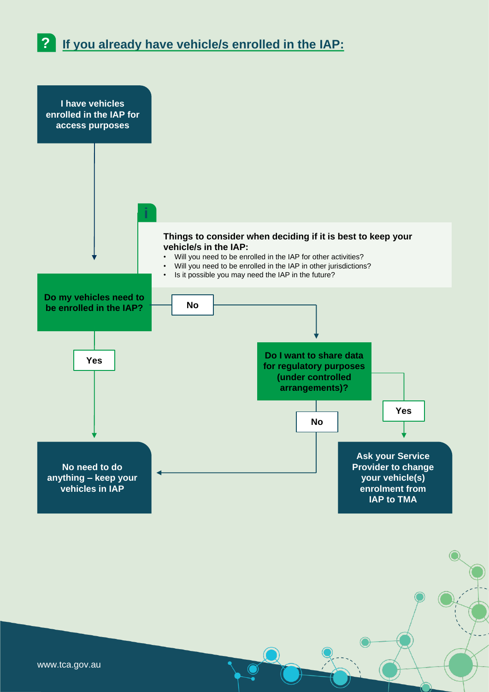**? If you already have vehicle/s enrolled in the IAP:**



www.tca.gov.au